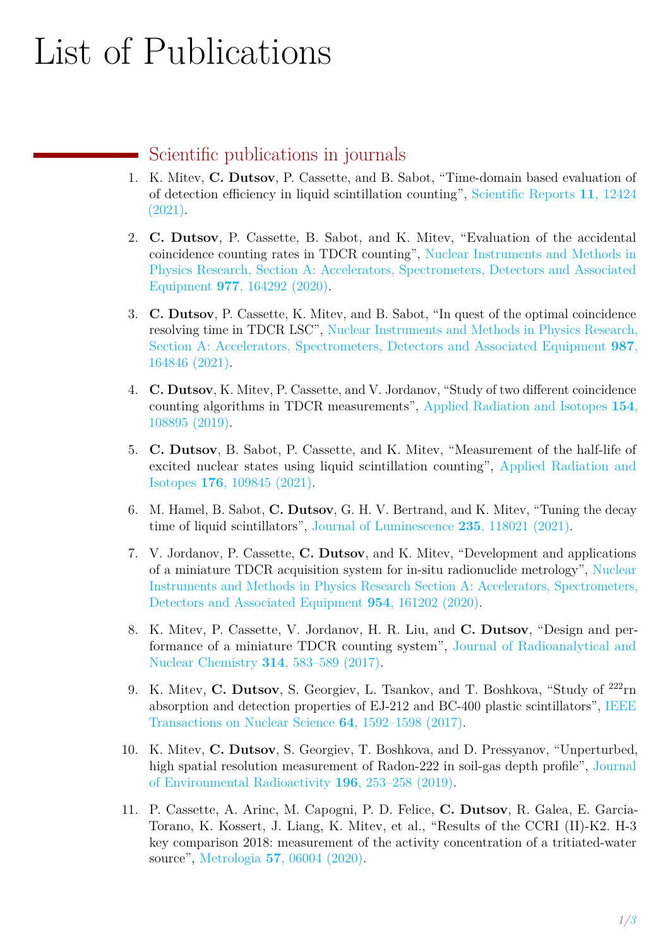# List of Publications

## Scientific publications in journals

- 1. K. Mitev, **C. Dutsov**, P. Cassette, and B. Sabot, "Time-domain based evaluation of of detection efficiency in liquid scintillation counting", [Scientific Reports](https://doi.org/10.1038/s41598-021-91873-1) **11**, 12424 [\(2021\).](https://doi.org/10.1038/s41598-021-91873-1)
- 2. **C. Dutsov**, P. Cassette, B. Sabot, and K. Mitev, "Evaluation of the accidental coincidence counting rates in TDCR counting", [Nuclear Instruments and Methods in](https://doi.org/10.1016/j.nima.2020.164292) [Physics Research, Section A: Accelerators, Spectrometers, Detectors and Associated](https://doi.org/10.1016/j.nima.2020.164292) Equipment **977**[, 164292 \(2020\).](https://doi.org/10.1016/j.nima.2020.164292)
- 3. **C. Dutsov**, P. Cassette, K. Mitev, and B. Sabot, "In quest of the optimal coincidence resolving time in TDCR LSC", [Nuclear Instruments and Methods in Physics Research,](https://doi.org/10.1016/j.nima.2020.164846) [Section A: Accelerators, Spectrometers, Detectors and Associated Equipment](https://doi.org/10.1016/j.nima.2020.164846) **987**, [164846 \(2021\).](https://doi.org/10.1016/j.nima.2020.164846)
- 4. **C. Dutsov**, K. Mitev, P. Cassette, and V. Jordanov, "Study of two different coincidence counting algorithms in TDCR measurements", [Applied Radiation and Isotopes](https://doi.org/10.1016/j.apradiso.2019.108895) **154**, [108895 \(2019\).](https://doi.org/10.1016/j.apradiso.2019.108895)
- 5. **C. Dutsov**, B. Sabot, P. Cassette, and K. Mitev, "Measurement of the half-life of excited nuclear states using liquid scintillation counting", [Applied Radiation and](https://doi.org/10.1016/j.apradiso.2021.109845) Isotopes **176**[, 109845 \(2021\).](https://doi.org/10.1016/j.apradiso.2021.109845)
- 6. M. Hamel, B. Sabot, **C. Dutsov**, G. H. V. Bertrand, and K. Mitev, "Tuning the decay time of liquid scintillators", [Journal of Luminescence](https://doi.org/10.1016/j.jlumin.2021.118021) **235**, 118021 (2021).
- 7. V. Jordanov, P. Cassette, **C. Dutsov**, and K. Mitev, "Development and applications of a miniature TDCR acquisition system for in-situ radionuclide metrology", [Nuclear](https://doi.org/10.1016/j.nima.2018.09.037) [Instruments and Methods in Physics Research Section A: Accelerators, Spectrometers,](https://doi.org/10.1016/j.nima.2018.09.037) [Detectors and Associated Equipment](https://doi.org/10.1016/j.nima.2018.09.037) **954**, 161202 (2020).
- 8. K. Mitev, P. Cassette, V. Jordanov, H. R. Liu, and **C. Dutsov**, "Design and performance of a miniature TDCR counting system", [Journal of Radioanalytical and](https://doi.org/10.1007/s10967-017-5451-3) [Nuclear Chemistry](https://doi.org/10.1007/s10967-017-5451-3) **314**, 583–589 (2017).
- 9. K. Mitev, **C. Dutsov**, S. Georgiev, L. Tsankov, and T. Boshkova, "Study of <sup>222</sup>rn absorption and detection properties of EJ-212 and BC-400 plastic scintillators", [IEEE](https://doi.org/10.1109/TNS.2017.2699041) [Transactions on Nuclear Science](https://doi.org/10.1109/TNS.2017.2699041) **64**, 1592–1598 (2017).
- 10. K. Mitev, **C. Dutsov**, S. Georgiev, T. Boshkova, and D. Pressyanov, "Unperturbed, high spatial resolution measurement of Radon-222 in soil-gas depth profile", [Journal](https://doi.org/10.1016/j.jenvrad.2018.01.019) [of Environmental Radioactivity](https://doi.org/10.1016/j.jenvrad.2018.01.019) **196**, 253–258 (2019).
- 11. P. Cassette, A. Arinc, M. Capogni, P. D. Felice, **C. Dutsov**, R. Galea, E. Garcia-Torano, K. Kossert, J. Liang, K. Mitev, et al., "Results of the CCRI (II)-K2. H-3 key comparison 2018: measurement of the activity concentration of a tritiated-water source", Metrologia **57**[, 06004 \(2020\).](https://doi.org/10.1088/0026-1394/57/1A/06004)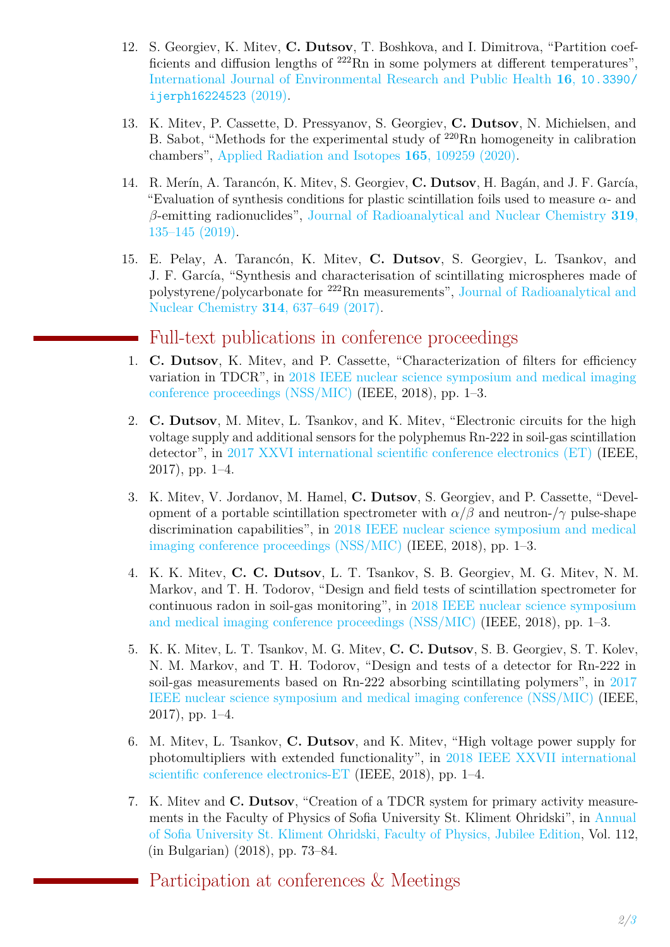- 12. S. Georgiev, K. Mitev, **C. Dutsov**, T. Boshkova, and I. Dimitrova, "Partition coefficients and diffusion lengths of <sup>222</sup>Rn in some polymers at different temperatures", [International Journal of Environmental Research and Public Health](https://doi.org/10.3390/ijerph16224523) **16**, [10.3390/](https://doi.org/10.3390/ijerph16224523) [ijerph16224523](https://doi.org/10.3390/ijerph16224523) (2019).
- 13. K. Mitev, P. Cassette, D. Pressyanov, S. Georgiev, **C. Dutsov**, N. Michielsen, and B. Sabot, "Methods for the experimental study of  $^{220}$ Rn homogeneity in calibration chambers", [Applied Radiation and Isotopes](https://doi.org/10.1016/j.apradiso.2020.109259) **165**, 109259 (2020).
- 14. R. Merín, A. Tarancón, K. Mitev, S. Georgiev, **C. Dutsov**, H. Bagán, and J. F. García, "Evaluation of synthesis conditions for plastic scintillation foils used to measure *α*- and *β*-emitting radionuclides", [Journal of Radioanalytical and Nuclear Chemistry](https://doi.org/10.1007/s10967-018-6341-z) **319**, [135–145 \(2019\).](https://doi.org/10.1007/s10967-018-6341-z)
- 15. E. Pelay, A. Tarancón, K. Mitev, **C. Dutsov**, S. Georgiev, L. Tsankov, and J. F. García, "Synthesis and characterisation of scintillating microspheres made of polystyrene/polycarbonate for <sup>222</sup>Rn measurements", [Journal of Radioanalytical and](https://doi.org/10.1007/s10967-017-5488-3) [Nuclear Chemistry](https://doi.org/10.1007/s10967-017-5488-3) **314**, 637–649 (2017).

### Full-text publications in conference proceedings

- 1. **C. Dutsov**, K. Mitev, and P. Cassette, "Characterization of filters for efficiency variation in TDCR", in [2018 IEEE nuclear science symposium and medical imaging](https://doi.org/10.1109/nssmic.2018.8824752) [conference proceedings \(NSS/MIC\)](https://doi.org/10.1109/nssmic.2018.8824752) (IEEE, 2018), pp. 1–3.
- 2. **C. Dutsov**, M. Mitev, L. Tsankov, and K. Mitev, "Electronic circuits for the high voltage supply and additional sensors for the polyphemus Rn-222 in soil-gas scintillation detector", in [2017 XXVI international scientific conference electronics \(ET\)](https://doi.org/10.1109/et.2017.8124396) (IEEE, 2017), pp. 1–4.
- 3. K. Mitev, V. Jordanov, M. Hamel, **C. Dutsov**, S. Georgiev, and P. Cassette, "Development of a portable scintillation spectrometer with  $\alpha/\beta$  and neutron- $/\gamma$  pulse-shape discrimination capabilities", in [2018 IEEE nuclear science symposium and medical](https://doi.org/10.1109/nssmic.2018.8824692) [imaging conference proceedings \(NSS/MIC\)](https://doi.org/10.1109/nssmic.2018.8824692) (IEEE, 2018), pp. 1–3.
- 4. K. K. Mitev, **C. C. Dutsov**, L. T. Tsankov, S. B. Georgiev, M. G. Mitev, N. M. Markov, and T. H. Todorov, "Design and field tests of scintillation spectrometer for continuous radon in soil-gas monitoring", in [2018 IEEE nuclear science symposium](https://doi.org/10.1109/nssmic.2018.8824288) [and medical imaging conference proceedings \(NSS/MIC\)](https://doi.org/10.1109/nssmic.2018.8824288) (IEEE, 2018), pp. 1–3.
- 5. K. K. Mitev, L. T. Tsankov, M. G. Mitev, **C. C. Dutsov**, S. B. Georgiev, S. T. Kolev, N. M. Markov, and T. H. Todorov, "Design and tests of a detector for Rn-222 in soil-gas measurements based on Rn-222 absorbing scintillating polymers", in [2017](https://doi.org/10.1109/nssmic.2018.8824288) [IEEE nuclear science symposium and medical imaging conference \(NSS/MIC\)](https://doi.org/10.1109/nssmic.2018.8824288) (IEEE, 2017), pp. 1–4.
- 6. M. Mitev, L. Tsankov, **C. Dutsov**, and K. Mitev, "High voltage power supply for photomultipliers with extended functionality", in [2018 IEEE XXVII international](https://doi.org/10.1109/et.2018.8549670) [scientific conference electronics-ET](https://doi.org/10.1109/et.2018.8549670) (IEEE, 2018), pp. 1–4.
- 7. K. Mitev and **C. Dutsov**, "Creation of a TDCR system for primary activity measurements in the Faculty of Physics of Sofia University St. Kliment Ohridski", in [Annual](https://www.phys.uni-sofia.bg/annual/archive/indexJubEdit2.html) [of Sofia University St. Kliment Ohridski, Faculty of Physics, Jubilee Edition,](https://www.phys.uni-sofia.bg/annual/archive/indexJubEdit2.html) Vol. 112, (in Bulgarian) (2018), pp. 73–84.

Participation at conferences & Meetings